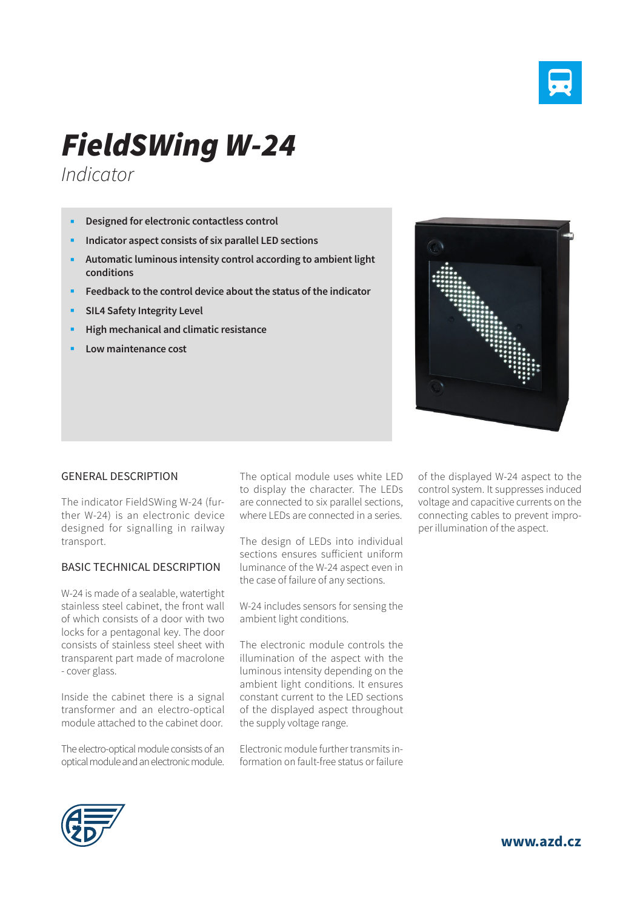

# *FieldSWing W-24*

*Indicator*

- **Designed for electronic contactless control**
- **Indicator aspect consists of six parallel LED sections**
- **Automatic luminous intensity control according to ambient light conditions**
- **Feedback to the control device about the status of the indicator**
- **SIL4 Safety Integrity Level**
- **High mechanical and climatic resistance**
- **Low maintenance cost**



#### GENERAL DESCRIPTION

The indicator FieldSWing W-24 (further W-24) is an electronic device designed for signalling in railway transport.

### BASIC TECHNICAL DESCRIPTION

W-24 is made of a sealable, watertight stainless steel cabinet, the front wall of which consists of a door with two locks for a pentagonal key. The door consists of stainless steel sheet with transparent part made of macrolone - cover glass.

Inside the cabinet there is a signal transformer and an electro-optical module attached to the cabinet door.

The electro-optical module consists of an optical module and an electronic module.

The optical module uses white LED to display the character. The LEDs are connected to six parallel sections, where LEDs are connected in a series.

The design of LEDs into individual sections ensures sufficient uniform luminance of the W-24 aspect even in the case of failure of any sections.

W-24 includes sensors for sensing the ambient light conditions.

The electronic module controls the illumination of the aspect with the luminous intensity depending on the ambient light conditions. It ensures constant current to the LED sections of the displayed aspect throughout the supply voltage range.

Electronic module further transmits information on fault-free status or failure of the displayed W-24 aspect to the control system. It suppresses induced voltage and capacitive currents on the connecting cables to prevent improper illumination of the aspect.